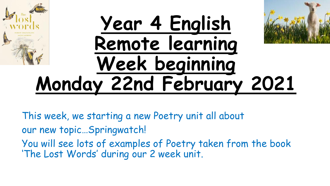# **Year 4 English Remote learning Week beginning Monday 22nd February 2021**

- This week, we starting a new Poetry unit all about
- our new topic…Springwatch!
- You will see lots of examples of Poetry taken from the book 'The Lost Words' during our 2 week unit.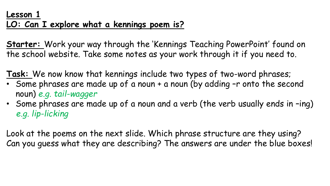**Starter:** Work your way through the 'Kennings Teaching PowerPoint' found on the school website. Take some notes as your work through it if you need to.

**Task:** We now know that kennings include two types of two-word phrases;

- Some phrases are made up of a noun + a noun (by adding -r onto the second noun) *e.g. tail-wagger*
- Some phrases are made up of a noun and a verb (the verb usually ends in -ing) *e.g. lip-licking*

Look at the poems on the next slide. Which phrase structure are they using? Can you guess what they are describing? The answers are under the blue boxes!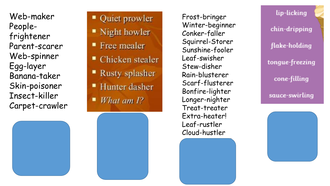Web -maker People frightener Parent -scarer Web -spinner Egg -layer Banana -taker Skin -poisoner Insect -killer Carpet -crawler



Frost -bringer Winter -beginner Conker -faller Squirrel -Storer Sunshine -fooler Leaf -swisher Stew -disher Rain -blusterer Scarf -flusterer Bonfire -lighter Longer -nighter Treat -treater Extra -heater! Leaf -rustler Cloud -hustler



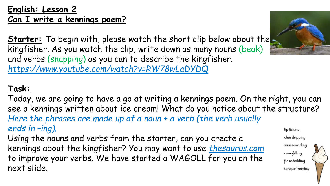#### **English: Lesson 2 Can I write a kennings poem?**

**Starter:** To begin with, please watch the short clip below about the kingfisher. As you watch the clip, write down as many nouns (beak) and verbs (snapping) as you can to describe the kingfisher. *https://www.youtube.com/watch?v=RW78wLaDYDQ*

## **Task:**

Today, we are going to have a go at writing a kennings poem. On the right, you can see a kennings written about ice cream! What do you notice about the structure? *Here the phrases are made up of a noun + a verb (the verb usually ends in –ing).* lip-licking

Using the nouns and verbs from the starter, can you create a kennings about the kingfisher? You may want to use *thesaurus.com* to improve your verbs. We have started a WAGOLL for you on the next slide.



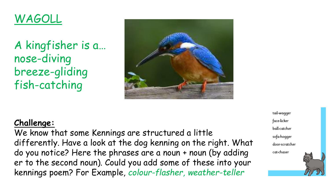# WAGOLL

A kingfisher is a… nose-diving breeze-gliding fish-catching



#### **Challenge:**

We know that some Kennings are structured a little differently. Have a look at the dog kenning on the right. What do you notice? Here the phrases are a noun + noun (by adding er to the second noun). Could you add some of these into your kennings poem? For Example, *colour-flasher, weather-teller*

tail-wagger face-licker **ball-catcher** sofa-hogger door-scratcher cat-chaser

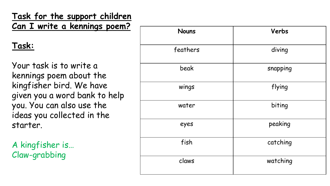**Task for the support children** *Can I write a kennings poem?* 

#### **Task:**

Your task is to write a kennings poem about the kingfisher bird. We have given you a word bank to help you. You can also use the ideas you collected in the starter.

A kingfisher is… Claw -grabbing

| <b>Nouns</b> | Verbs    |
|--------------|----------|
| feathers     | diving   |
| beak         | snapping |
| wings        | flying   |
| water        | biting   |
| eyes         | peaking  |
| fish         | catching |
| claws        | watching |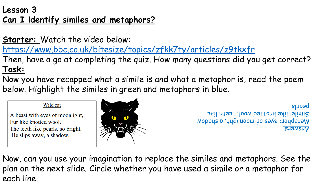#### **Lesson 3 Can I identify similes and metaphors?**

**Starter:** Watch the video below:

<https://www.bbc.co.uk/bitesize/topics/zfkk7ty/articles/z9tkxfr>

Then, have a go at completing the quiz. How many questions did you get correct? **Task:**

Now you have recapped what a simile is and what a metaphor is, read the poem below. Highlight the similes in green and metaphors in blue.

#### Wild cat

A beast with eyes of moonlight, Fur like knotted wool. The teeth like pearls, so bright, He slips away, a shadow.



Answers: Metaphor: eyes of moonlight, a shadow Simile: like knotted wool, teeth like pearls

Now, can you use your imagination to replace the similes and metaphors. See the plan on the next slide. Circle whether you have used a simile or a metaphor for each line.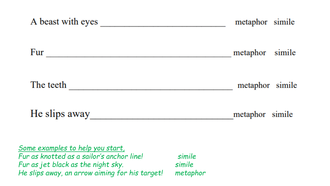| A beast with eyes                                                                                                   |                  | metaphor simile |
|---------------------------------------------------------------------------------------------------------------------|------------------|-----------------|
| Fur                                                                                                                 |                  | metaphor simile |
| The teeth                                                                                                           |                  | metaphor simile |
| He slips away                                                                                                       |                  | metaphor simile |
| Some examples to help you start,<br>Fur as knotted as a sailor's anchor line!<br>Fur as jet black as the night sky. | simile<br>simile |                 |

*He slips away, an arrow aiming for his target! metaphor*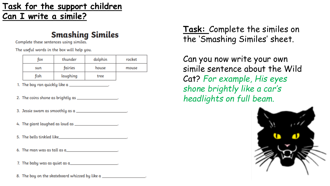#### **Task for the support children Can I write a simile?**

#### **Smashing Similes**

Complete these sentences using similes.

The useful words in the box will help you.

| fox  | thunder  | dolphin | rocket |
|------|----------|---------|--------|
| sun  | fairies  | house   | mouse  |
| fish | laughing | tree    |        |

- 1. The boy ran quickly like  $a_1$  [2010]
- 2. The coins shone as brightly as \_\_\_\_\_\_\_\_\_\_\_\_\_\_\_\_\_\_\_.
- 3. Jessie swam as smoothly as a  $\_\_$
- 4. The giant laughed as loud as \_\_\_\_\_\_\_\_\_\_\_\_\_\_\_\_\_\_\_\_\_.
- 5. The bells tinkled like the control of the control of the control of the control of the control of the control of the control of the control of the control of the control of the control of the control of the control of t
- 
- 

8. The boy on the skateboard whizzed by like a

**Task:** Complete the similes on the 'Smashing Similes' sheet.

Can you now write your own simile sentence about the Wild Cat? *For example, His eyes shone brightly like a car's headlights on full beam.*

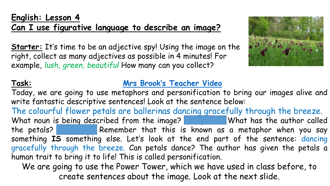#### **English: Lesson 4 Can I use figurative language to describe an image?**

**Starter:** It's time to be an adjective spy! Using the image on the right, collect as many adjectives as possible in 4 minutes! For example, *lush, green, beautiful* How many can you collect?



#### **Task: Mrs Brook's [Teacher](https://youtu.be/8u9-bxc5I1w) Video**

Today, we are going to use metaphors and personification to bring our images alive and write fantastic descriptive sentences! Look at the sentence below:

The colourful flower petals are ballerinas dancing gracefully through the breeze. What noun is being described from the image? What has the author called the petals? Remember that this is known as a metaphor when you say something **IS** something else. Let's look at the end part of the sentence: dancing gracefully through the breeze. Can petals dance? The author has given the petals a human trait to bring it to life! This is called personification.

We are going to use the Power Tower, which we have used in class before, to create sentences about the image. Look at the next slide.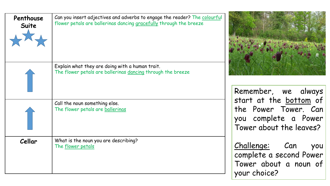| Penthouse<br>Suite | Can you insert adjectives and adverbs to engage the reader? The colourful<br>flower petals are ballerinas dancing gracefully through the breeze |                                                                                                   |
|--------------------|-------------------------------------------------------------------------------------------------------------------------------------------------|---------------------------------------------------------------------------------------------------|
|                    | Explain what they are doing with a human trait.<br>The flower petals are ballerinas dancing through the breeze                                  | Remember, we always                                                                               |
|                    | Call the noun something else.<br>The flower petals are ballerinas                                                                               | start at the bottom of<br>the Power Tower. Can<br>you complete a Power<br>Tower about the leaves? |
| Cellar             | What is the noun you are describing?<br>The flower petals                                                                                       | Challenge: Can<br>you<br>complete a second Power<br>Tower about a noun of<br>your choice?         |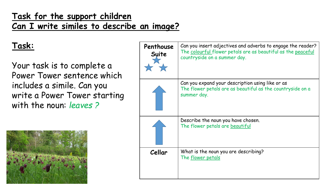#### **Task for the support children Can I write similes to describe an image?**

### **Task:**

Your task is to complete a Power Tower sentence which includes a simile. Can you write a Power Tower starting with the noun: *leaves ?*



| Penthouse<br>Suite | Can you insert adjectives and adverbs to engage the reader?<br>The colourful flower petals are as beautiful as the peaceful<br>countryside on a summer day. |
|--------------------|-------------------------------------------------------------------------------------------------------------------------------------------------------------|
|                    | Can you expand your description using like or as<br>The flower petals are as beautiful as the countryside on a<br>summer day.                               |
|                    | Describe the noun you have chosen.<br>The flower petals are beautiful                                                                                       |
| Cellar             | What is the noun you are describing?<br>The flower petals                                                                                                   |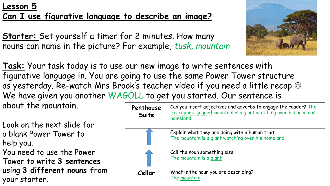#### **Lesson 5 Can I use figurative language to describe an image?**

**Starter:** Set yourself a timer for 2 minutes. How many nouns can name in the picture? For example, *tusk, mountain* 



**Task:** Your task today is to use our new image to write sentences with figurative language in. You are going to use the same Power Tower structure as yesterday. Re-watch Mrs Brook's teacher video if you need a little recap  $\odot$ We have given you another WAGOLL to get you started. Our sentence is about the mountain.

Look on the next slide for a blank Power Tower to help you. You need to use the Power Tower to write **3 sentences**  using **3 different nouns** from your starter.

| Penthouse<br>Suite | Can you insert adjectives and adverbs to engage the reader? The<br>ice-capped, jagged mountain is a giant watching over his precious<br>homeland. |
|--------------------|---------------------------------------------------------------------------------------------------------------------------------------------------|
|                    | Explain what they are doing with a human trait.<br>The mountain is a giant watching over his homeland                                             |
|                    | Call the noun something else.<br>The mountain is a giant                                                                                          |
| Cellar             | What is the noun you are describing?<br>The mountain                                                                                              |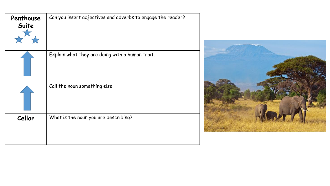| Penthouse<br>Suite | Can you insert adjectives and adverbs to engage the reader? |
|--------------------|-------------------------------------------------------------|
|                    | Explain what they are doing with a human trait.             |
|                    | Call the noun something else.                               |
| Cellar             | What is the noun you are describing?                        |

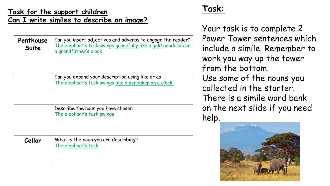#### **Task for the support children Can I write similes to describe an image?**

| Penthouse<br>Suite | Can you insert adjectives and adverbs to engage the reader?<br>The elephant's tusk swings gracefully like a gold pendulum on<br>a grandfather's clock. |
|--------------------|--------------------------------------------------------------------------------------------------------------------------------------------------------|
|                    | Can you expand your description using like or as<br>The elephant's tusk swings like a pendulum on a clock.                                             |
|                    | Describe the noun you have chosen.<br>The elephant's tusk swings                                                                                       |
| Cellar             | What is the noun you are describing?<br>The elephant's tusk                                                                                            |

#### **Task:**

Your task is to complete 2 Power Tower sentences which include a simile. Remember to work you way up the tower from the bottom. Use some of the nouns you collected in the starter. There is a simile word bank on the next slide if you need help.